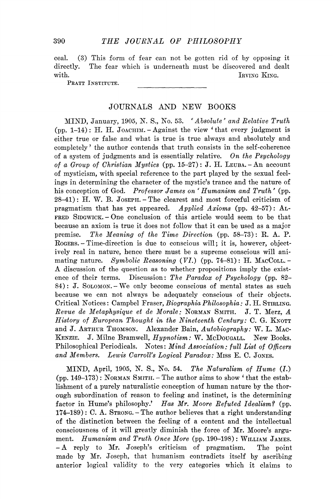ceal. **(3 )** This form of fear can not be gotten rid of by opposing it directly. The fear which is underneath must be discovered and dealt with. IRVING KING.

PRATT INSTITUTE.

## JOURNALS AND NEW BOOKS

MIND , January, **1905 ,** N . **S.,** No. **53 .** *' Alsolute' and Relative Truth*  (pp.  $1-14$ ): H. H. JOACHIM.  $-$  Against the view 'that every judgment is either true or false and what is true is true always and absolutely and completely' the author contends that truth consists in the self-coherence of a system of judgments and is essentially relative. *On the Psychology of a Group of Christian Mystics* (pp. **15-27 )** : J. H . LEUBA. - A n account of mysticism, with special reference to the part played by the sexual feelings in determining the character of the mystic's trance and the nature of his conception of God. Professor James on 'Humanism and Truth' (pp. **28-41) :** H . W. B. JOSEPH.-The clearest and most forceful criticism of pragmatism that has yet appeared. *Applied Axioms* (pp. **42-57 )** : AL - FRED **SiDGWiCK.** - One conclusion of this article would seem to be that because an axiom is true it does not follow that it can be used as a major premise. *The Meaning of the Time Direction* (pp. **58-73 )** : R. A. P. ROGERS. - Time-direction is due to conscious will; it is, however, objectively real in nature, hence there must be a supreme conscious will animating nature. Symbolic Reasoning (VI.) (pp. 74-81): H. MACCOLL.-A discussion of the question as to whether propositions imply the existence of their terms. Discussion: The Paradox of Psychology (pp. 82– **8 4 )** : J. SOLOMON. - We only become conscious of mental states as such because we can not always be adequately conscious of their objects. Critical Notices: Campbel *Yraser, BiographiaPhilosophia:* J. H . STIRLING. *Revue de Metaphysique et de Morale:* NORMAN SMITH. J. T. Merz, *A History of European Thought in the Nineteenth Century:* C. G. KNOTT and J. ARTHUR THOMSON. Alexander Bain, Autobiography: W. L. MAC-KENZIE. J. Milne Bramwell, *Hypnotism:* W. MCDOUGALL. New Books. Philosophical Periodicals. Notes: *Mind Association: full List of Officers*  and Members. Lewis Carroll's Logical Paradox: Miss E. C. JONES.

MIND , April, **1905 ,** N . S., No. **54 .** *The Naturalism of Hume (L)*  (pp. **149-173 )** : NORMAN SMITH. - The author aims to show ^ that the establishment of a purely naturalistic conception of human nature by the thorough subordination of reason to feeling and instinct, is the determining factor in Hume's philosophy.' *Has Mr, Moore Refuted Idealism?* (pp. **174r-189)** : C. A. STRONG. - The author believes that a right understanding of the distinction between the feeling of a content and the intellectual consciousness of it will greatly diminish the force of Mr. Moore's argument. *Humanism and Truth Once More* (pp. **190-198)** : WILLIAM JAMES. - A reply to Mr. Joseph's criticism of pragmatism. The point made by Mr. Joseph, that humanism contradicts itself by ascribing anterior logical validity to the very categories which it claims to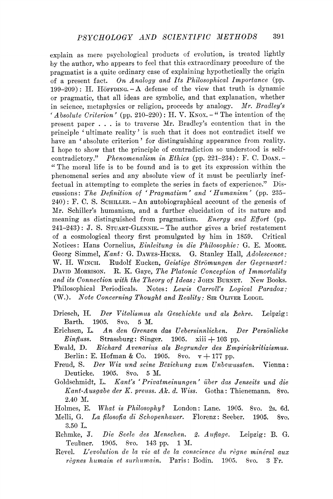explain as mere psychological products of evolution, is treated lightly by the author, who appears to feel that this extraordinary procedure of the pragmatist is a quite ordinary case of explaining hypothetically the origin of a present fact. *On Analogy and Its Philosophical Importance* (pp.  $199-209$ : H. Hörrping.  $-A$  defense of the view that truth is dynamic or pragmatic, that all ideas are symbolic, and that explanation, whether in science, metaphysics or religion, proceeds by analogy. *Mr. Bradley's*  ' Absolute Criterion' (pp. 210-220): H. V. KNOX.<sup>-"</sup> The intention of the present paper .. . is to traverse Mr. Bradley's contention that in the principle 'ultimate reality' is such that it does not contradict itself we have an 'absolute criterion' for distinguishing appearance from reality. I hope to show that the principle of contradiction so understood is selfcontradictory." *Phenomenalism in Ethics* (pp. 221–234): F. C. Doan. -" The moral life is to be found and is to get its expression within the phenomenal series and any absolute view of it must be peculiarly ineffectual in attempting to complete the series in facts of experience." Discussions: *The Definition of 'Pragmatism' and 'Humanism'* (pp. 235¬  $240$ : F. C. S. SCHILLER. - An autobiographical account of the genesis of Mr. Schiller's humanism, and a further elucidation of its nature and meaning as distinguished from pragmatism. *Energy and Effort* (pp.  $241-243$ ): J. S. STUART-GLENNIE. - The author gives a brief restatement of a cosmological theory first promulgated by him in 1859. Critical Notices: Hans Cornelius, *Einleitung in die Philosophic:* G. E. MOORE. Georg Simmel, *Kant:* G. DAWES-HICKS. G. Stanley Hall, *Adolescence*: W. H. WINCH. Rudolf Eucken, Geistige Strömungen der Gegenwart: DAVID MORRISON. R. K. Gaye, *The Platonic Conception of Immortality and its Connection with the Theory of Ideas:* JOHN BURNET. New Books. Philosophical Periodicals. Notes: *Lewis Carroll's Logical Paradox:*  (W.). *Note Concerning Thought and Reality:* SIR OLIVER LODGE.

- Driesch, H. Der Vitalismus als Geschichte und als Lehre. Leipzig: Barth. 1905. 8vo. 5 M.
- Erichsen, L. *An den Grenzen das Uehersinnlichen. Der Persdnliche Einfluss.* Strassburg: Singer. 1905. xiii  $+$  103 pp.
- Ewald, D. Richard Avenarius als Begrunder des Empiriokritizismus. Berlin: E. Hofman & Co. 1905. 8vo.  $v + 177$  pp.
- Freud, S. *Der Wiz und seine Beziehung zum Unbewussten.* Vienna: Deuticke. 1905. 8vo. 5 M.
- Goldschmidt, L. *Kant's ' Privatmeinungen' iiber das Jenseits und die Kant-Ausgahe der K. preuss. Ah. d. Wiss.* Gotha: Thienemann. 8vo. 2.40 M.
- Holmes, E. What is Philosophy? London: Lane. 1905. 8vo. 2s. 6d.
- Melli, G. *La filosofia di Schopenhauer.* Florenz: Seeber. 1905. 8vo.  $3.50$  L.
- Rehmke, J. *Die Seele des Menschen. 2. Auflage.* Leipzig: B . G. Teubner. 1905. 8vo. 143 pp. 1 M.
- Revel. *L'evolution de la vie ai de la conscience du regne mineral aux regnes humain et surhumain,* Paris: Bodin. 1905. 8vo. 3 Fr.